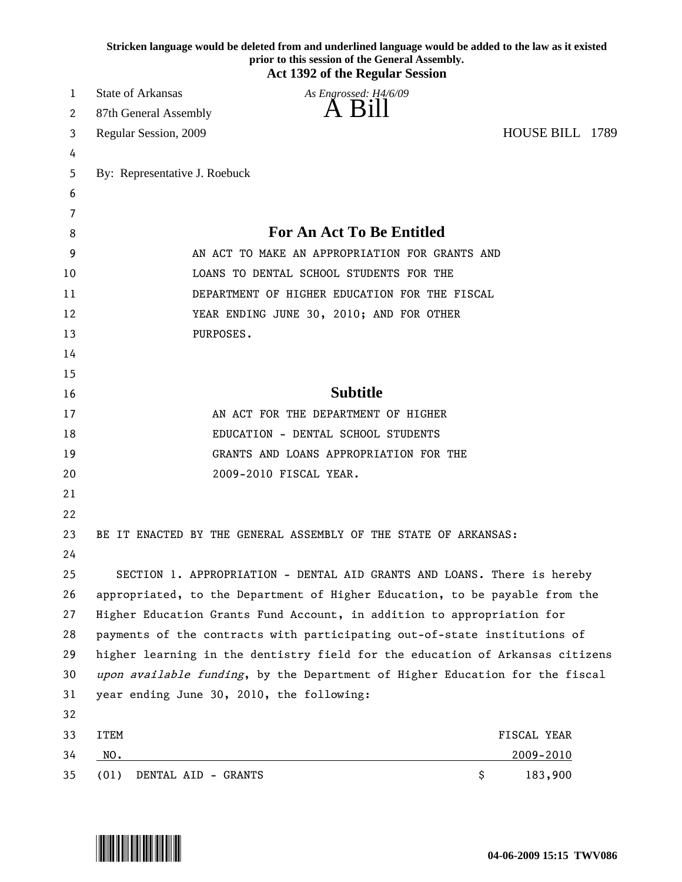|    |                                                                               | Stricken language would be deleted from and underlined language would be added to the law as it existed<br>prior to this session of the General Assembly.<br><b>Act 1392 of the Regular Session</b> |                 |  |
|----|-------------------------------------------------------------------------------|-----------------------------------------------------------------------------------------------------------------------------------------------------------------------------------------------------|-----------------|--|
| 1  | <b>State of Arkansas</b>                                                      | As Engrossed: H4/6/09                                                                                                                                                                               |                 |  |
| 2  | 87th General Assembly                                                         |                                                                                                                                                                                                     |                 |  |
| 3  | Regular Session, 2009                                                         |                                                                                                                                                                                                     | HOUSE BILL 1789 |  |
| 4  |                                                                               |                                                                                                                                                                                                     |                 |  |
| 5  | By: Representative J. Roebuck                                                 |                                                                                                                                                                                                     |                 |  |
| 6  |                                                                               |                                                                                                                                                                                                     |                 |  |
| 7  |                                                                               |                                                                                                                                                                                                     |                 |  |
| 8  | <b>For An Act To Be Entitled</b>                                              |                                                                                                                                                                                                     |                 |  |
| 9  |                                                                               | AN ACT TO MAKE AN APPROPRIATION FOR GRANTS AND                                                                                                                                                      |                 |  |
| 10 |                                                                               | LOANS TO DENTAL SCHOOL STUDENTS FOR THE                                                                                                                                                             |                 |  |
| 11 |                                                                               | DEPARTMENT OF HIGHER EDUCATION FOR THE FISCAL                                                                                                                                                       |                 |  |
| 12 |                                                                               | YEAR ENDING JUNE 30, 2010; AND FOR OTHER                                                                                                                                                            |                 |  |
| 13 | PURPOSES.                                                                     |                                                                                                                                                                                                     |                 |  |
| 14 |                                                                               |                                                                                                                                                                                                     |                 |  |
| 15 |                                                                               |                                                                                                                                                                                                     |                 |  |
| 16 | <b>Subtitle</b>                                                               |                                                                                                                                                                                                     |                 |  |
| 17 |                                                                               | AN ACT FOR THE DEPARTMENT OF HIGHER                                                                                                                                                                 |                 |  |
| 18 | EDUCATION - DENTAL SCHOOL STUDENTS                                            |                                                                                                                                                                                                     |                 |  |
| 19 |                                                                               | GRANTS AND LOANS APPROPRIATION FOR THE                                                                                                                                                              |                 |  |
| 20 |                                                                               | 2009-2010 FISCAL YEAR.                                                                                                                                                                              |                 |  |
| 21 |                                                                               |                                                                                                                                                                                                     |                 |  |
| 22 |                                                                               |                                                                                                                                                                                                     |                 |  |
| 23 |                                                                               | BE IT ENACTED BY THE GENERAL ASSEMBLY OF THE STATE OF ARKANSAS:                                                                                                                                     |                 |  |
| 24 |                                                                               |                                                                                                                                                                                                     |                 |  |
| 25 |                                                                               | SECTION 1. APPROPRIATION - DENTAL AID GRANTS AND LOANS. There is hereby                                                                                                                             |                 |  |
| 26 | appropriated, to the Department of Higher Education, to be payable from the   |                                                                                                                                                                                                     |                 |  |
| 27 | Higher Education Grants Fund Account, in addition to appropriation for        |                                                                                                                                                                                                     |                 |  |
| 28 | payments of the contracts with participating out-of-state institutions of     |                                                                                                                                                                                                     |                 |  |
| 29 | higher learning in the dentistry field for the education of Arkansas citizens |                                                                                                                                                                                                     |                 |  |
| 30 | upon available funding, by the Department of Higher Education for the fiscal  |                                                                                                                                                                                                     |                 |  |
| 31 | year ending June 30, 2010, the following:                                     |                                                                                                                                                                                                     |                 |  |
| 32 |                                                                               |                                                                                                                                                                                                     |                 |  |
| 33 | <b>ITEM</b>                                                                   |                                                                                                                                                                                                     | FISCAL YEAR     |  |
| 34 | NO.                                                                           |                                                                                                                                                                                                     | 2009-2010       |  |
| 35 | DENTAL AID - GRANTS<br>(01)                                                   |                                                                                                                                                                                                     | \$<br>183,900   |  |